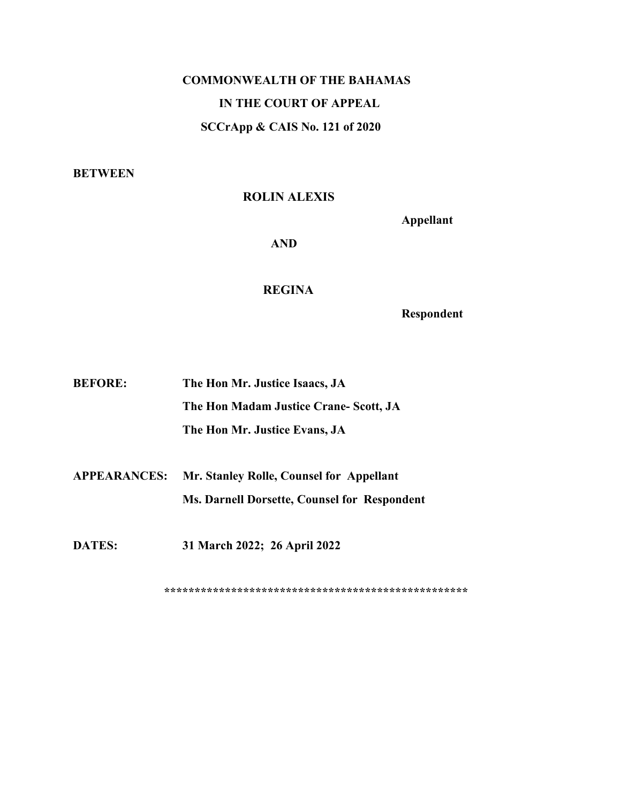# **COMMONWEALTH OF THE BAHAMAS IN THE COURT OF APPEAL SCCrApp & CAIS No. 121 of 2020**

**BETWEEN**

# **ROLIN ALEXIS**

**Appellant**

**AND**

#### **REGINA**

**Respondent**

| <b>BEFORE:</b> | The Hon Mr. Justice Isaacs, JA        |
|----------------|---------------------------------------|
|                | The Hon Madam Justice Crane-Scott, JA |
|                | The Hon Mr. Justice Evans, JA         |

**APPEARANCES: Mr. Stanley Rolle, Counsel for Appellant Ms. Darnell Dorsette, Counsel for Respondent**

**DATES: 31 March 2022; 26 April 2022**

**\*\*\*\*\*\*\*\*\*\*\*\*\*\*\*\*\*\*\*\*\*\*\*\*\*\*\*\*\*\*\*\*\*\*\*\*\*\*\*\*\*\*\*\*\*\*\*\*\*\***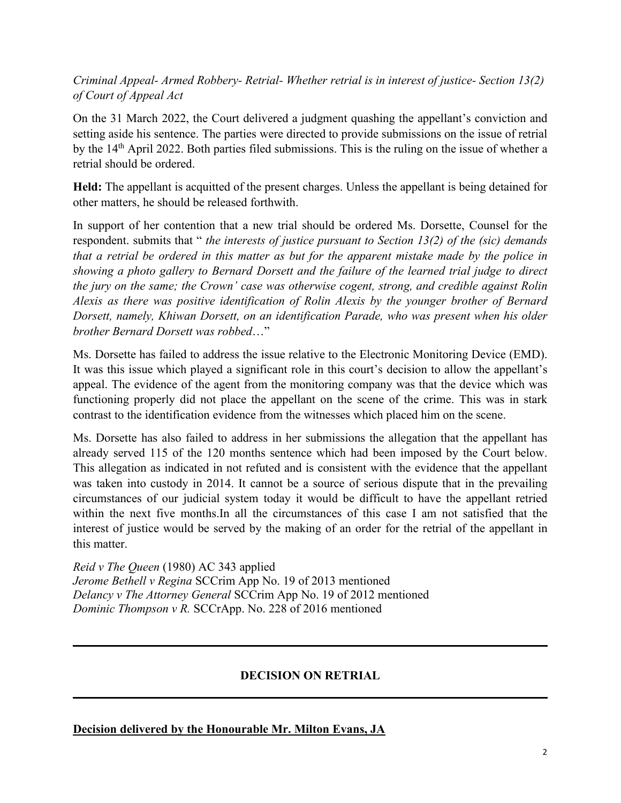*Criminal Appeal- Armed Robbery- Retrial- Whether retrial is in interest ofjustice- Section 13(2) of Court of Appeal Act*

On the 31 March 2022, the Court delivered a judgment quashing the appellant's conviction and setting aside his sentence. The parties were directed to provide submissions on the issue of retrial by the 14<sup>th</sup> April 2022. Both parties filed submissions. This is the ruling on the issue of whether a retrial should be ordered.

**Held:** The appellant is acquitted of the present charges. Unless the appellant is being detained for other matters, he should be released forthwith.

In support of her contention that a new trial should be ordered Ms. Dorsette, Counsel for the respondent. submits that " *the interests of justice pursuant to Section 13(2) of the (sic) demands* that a retrial be ordered in this matter as but for the apparent mistake made by the police in *showing a photo gallery to Bernard Dorsett and the failure of the learned trial judge to direct the jury on the same; the Crown' case was otherwise cogent, strong, and credible against Rolin Alexis as there was positive identification of Rolin Alexis by the younger brother of Bernard Dorsett, namely, Khiwan Dorsett, on an identification Parade, who was present when his older brother Bernard Dorsett was robbed*…"

Ms. Dorsette has failed to address the issue relative to the Electronic Monitoring Device (EMD). It was this issue which played a significant role in this court's decision to allow the appellant's appeal. The evidence of the agent from the monitoring company was that the device which was functioning properly did not place the appellant on the scene of the crime. This was in stark contrast to the identification evidence from the witnesses which placed him on the scene.

Ms. Dorsette has also failed to address in her submissions the allegation that the appellant has already served 115 of the 120 months sentence which had been imposed by the Court below. This allegation as indicated in not refuted and is consistent with the evidence that the appellant was taken into custody in 2014. It cannot be a source of serious dispute that in the prevailing circumstances of our judicial system today it would be difficult to have the appellant retried within the next five months.In all the circumstances of this case I am not satisfied that the interest of justice would be served by the making of an order for the retrial of the appellant in this matter.

*Reid v The Queen* (1980) AC 343 applied *Jerome Bethell v Regina* SCCrim App No. 19 of 2013 mentioned *Delancy v The Attorney General* SCCrim App No. 19 of 2012 mentioned *Dominic Thompson v R.* SCCrApp. No. 228 of 2016 mentioned

# **DECISION ON RETRIAL**

## **Decision delivered by the Honourable Mr. Milton Evans, JA**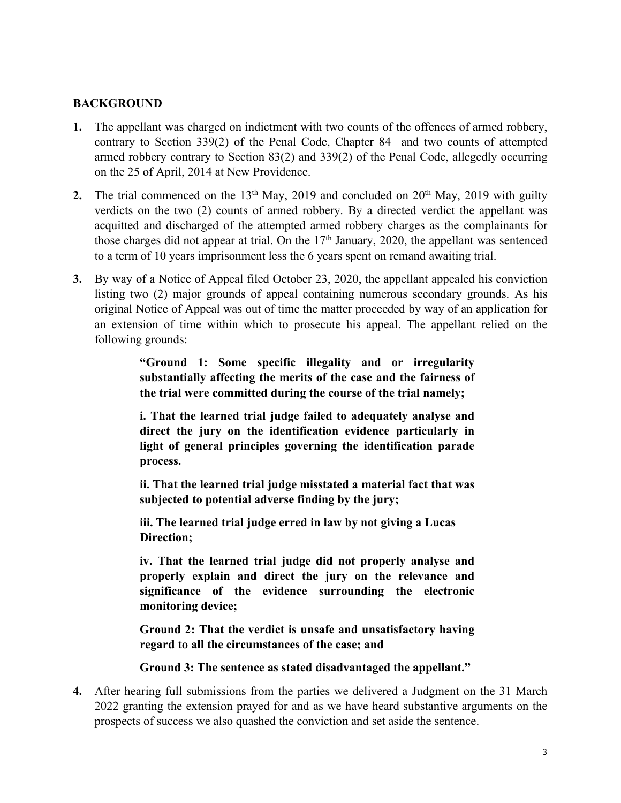## **BACKGROUND**

- 1. The appellant was charged on indictment with two counts of the offences of armed robbery, contrary to Section 339(2) of the Penal Code, Chapter 84 and two counts of attempted armed robbery contrary to Section 83(2) and 339(2) of the Penal Code, allegedly occurring on the 25 of April, 2014 at New Providence.
- **2.** The trial commenced on the 13<sup>th</sup> May, 2019 and concluded on 20<sup>th</sup> May, 2019 with guilty verdicts on the two (2) counts of armed robbery. By a directed verdict the appellant was acquitted and discharged of the attempted armed robbery charges as the complainants for those charges did not appear at trial. On the 17<sup>th</sup> January, 2020, the appellant was sentenced to a term of 10 years imprisonment less the 6 years spent on remand awaiting trial.
- **3.** By way of a Notice of Appeal filed October 23, 2020, the appellant appealed his conviction listing two (2) major grounds of appeal containing numerous secondary grounds. As his original Notice of Appeal was out of time the matter proceeded by way of an application for an extension of time within which to prosecute his appeal. The appellant relied on the following grounds:

**"Ground 1: Some specific illegality and or irregularity substantially affecting the merits of the case and the fairness of the trial were committed during the course of the trial namely;**

**i. That the learned trial judge failed to adequately analyse and direct the jury on the identification evidence particularly in light of general principles governing the identification parade process.**

**ii. That the learned trial judge misstated a material fact that was subjected to potential adverse finding by the jury;**

**iii. The learned trial judge erred in law by not giving a Lucas Direction;**

**iv. That the learned trial judge did not properly analyse and properly explain and direct the jury on the relevance and significance of the evidence surrounding the electronic monitoring device;**

**Ground 2: That the verdict is unsafe and unsatisfactory having regard to all the circumstances of the case; and**

**Ground 3: The sentence as stated disadvantaged the appellant."**

**4.** After hearing full submissions from the parties we delivered a Judgment on the 31 March 2022 granting the extension prayed for and as we have heard substantive arguments on the prospects of success we also quashed the conviction and set aside the sentence.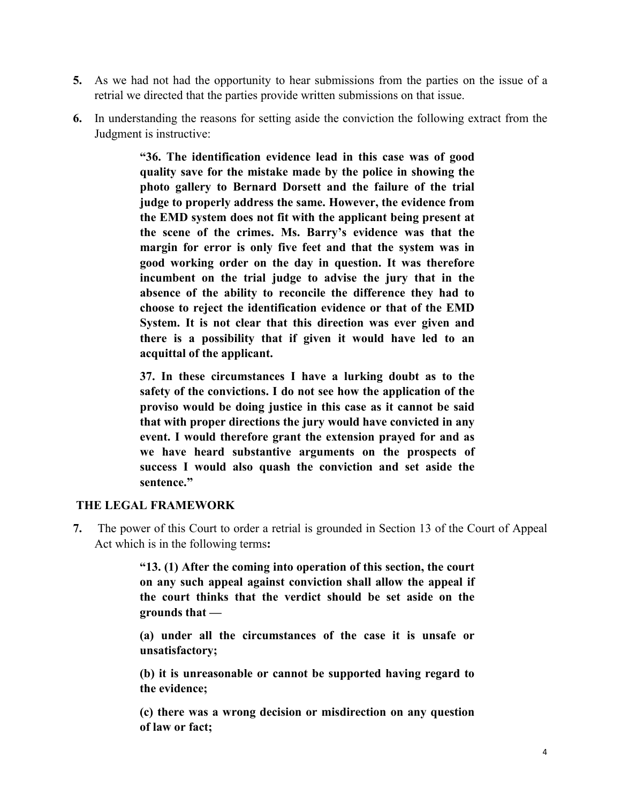- **5.** As we had not had the opportunity to hear submissions from the parties on the issue of a retrial we directed that the parties provide written submissions on that issue.
- **6.** In understanding the reasons for setting aside the conviction the following extract from the Judgment is instructive:

**"36. The identification evidence lead in this case was of good quality save for the mistake made by the police in showing the photo gallery to Bernard Dorsett and the failure of the trial judge to properly address the same. However, the evidence from the EMD system does not fit with the applicant being present at the scene of the crimes. Ms. Barry's evidence was that the margin for error is only five feet and that the system was in good working order on the day in question. It was therefore incumbent on the trial judge to advise the jury that in the absence of the ability to reconcile the difference they had to choose to reject the identification evidence or thatof the EMD System. It is not clear that this direction was ever given and there is a possibility that if given it would have led to an acquittal of the applicant.**

**37. In these circumstances I have a lurking doubt as to the safety of the convictions. I do not see how the application of the proviso would be doing justice in this case as it cannot be said that with proper directions the jury would have convicted in any event. I would therefore grant the extension prayed for and as we have heard substantive arguments on the prospects of success I would also quash the conviction and set aside the sentence."**

#### **THE LEGAL FRAMEWORK**

**7.** The power of this Court to order a retrial is grounded in Section 13 of the Court of Appeal Act which is in the following terms**:**

> **"13. (1) After the coming into operation of this section, the court on any such appeal against conviction shall allow the appealif the court thinks that the verdict should be set aside on the grounds that —**

> **(a) under all the circumstances of the case it is unsafe or unsatisfactory;**

> **(b) it is unreasonable or cannot be supported having regard to the evidence;**

> **(c) there was a wrong decision or misdirection on any question of law or fact;**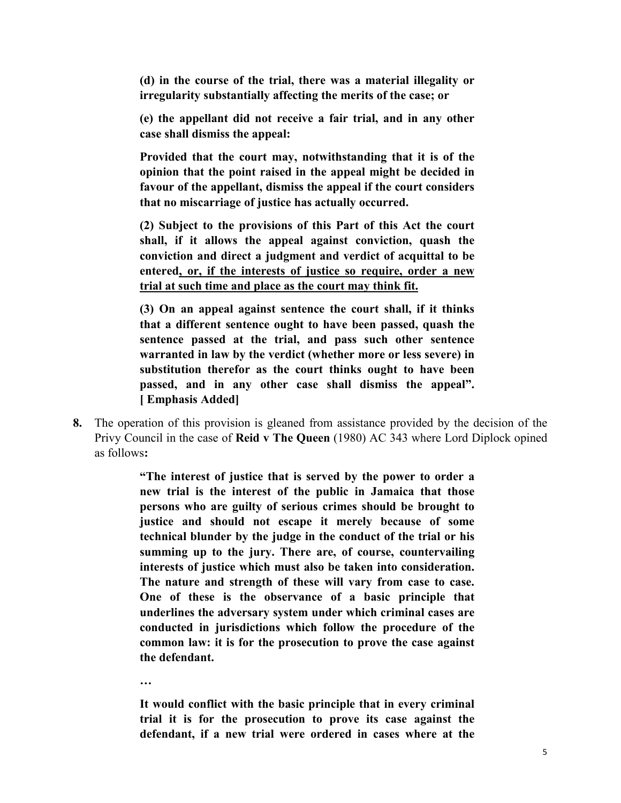**(d) in the course of the trial, there was a material illegality or irregularity** substantially affecting the merits of the case; or

**(e) the appellant did not receive a fair trial, and in any other case shall dismiss the appeal:**

**Provided that the court may, notwithstanding that itis of the opinion that the point raised in the appealmight be decided in favour of the appellant, dismiss the appeal if the court considers that no miscarriage of justice has actually occurred.**

**(2) Subject to the provisions of this Part of this Act the court shall, if it allows the appeal against conviction, quash the conviction and direct a judgment and verdict of acquittal to be entered, or, if the interests of justice so require, order a new trial at such timeand place as the court may think fit.**

**(3) On an appeal against sentence the court shall, if it thinks that a different sentence ought to have been passed, quash the sentence passed at the trial, and pass such other sentence warranted in law by the verdict (whether more or less severe) in substitution therefor as the court thinks ought to have been passed, and in any other case shall dismiss the appeal". [ Emphasis Added]**

**8.** The operation of this provision is gleaned from assistance provided by the decision of the Privy Council in the case of **Reid v The Queen** (1980) AC 343 where Lord Diplock opined as follows**:"The interest of justice that is served by the power to order <sup>a</sup>**

**new trial is the interest of the public in Jamaica that those persons who are guilty of serious crimes should be brought to justice and should not escape it merely because of some technical blunder by the judge in the conduct of the trial or his summing up to the jury. There are, of course, countervailing interests of justice which must also be taken into consideration.** The nature and strength of these will vary from case to case.<br>One of these is the observance of a basic principle that **underlines the adversary system under which criminal cases are conducted in jurisdictions which follow the procedure of the common law: it is for the prosecution to prove the case against the defendant.**

**…**

**It would conflict with the basic principle thatin every criminal trial it is for the prosecution to prove its case against the defendant, if a new trial were ordered in cases where at the**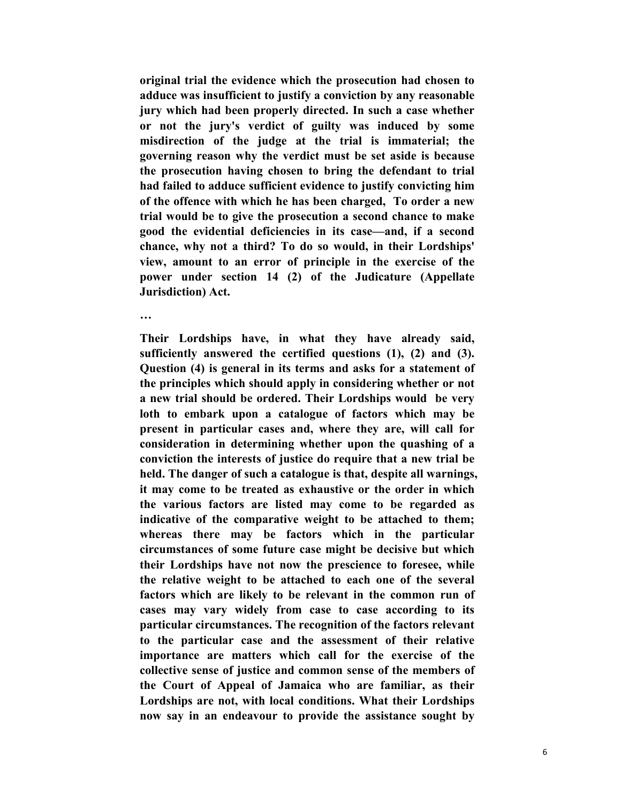**original trial the evidence which the prosecution had chosen to adduce was insufficient to justify a conviction by any reasonable jury which had been properly directed. In such a case whether or notthe jury's verdict of guilty was induced by some misdirection of the judge at the trial is immaterial; the governing reason why the verdict must be set aside isbecause the prosecution having chosen to bring the defendant to trial had failed toadduce sufficient evidence to justify convicting him of the offence with which he has been charged, To order a new trial would be to give the prosecution a second chance to make good the evidential deficiencies in its case—and, if a second chance, why not a third? To do so would, in their Lordships' view, amount to an error of principle in the exercise of the power under section 14 (2) of the Judicature (Appellate Jurisdiction) Act.**

**…**

**Their Lordships have, in what they have already said, sufficiently answered the certified questions (1), (2) and (3). Question (4) is general in its terms and asks for a statement of the principles which should apply in considering whether or not a new trialshould be ordered. Their Lordships would be very loth to embark upon acatalogue of factors which may be present in particular cases and, where they are, will call for consideration in determining whether upon the quashing of a conviction the interests of justice do require thata new trial be held. The danger of such a catalogue is that, despite all warnings, it may come to be treated as exhaustive or the order in which the various factors are listed may come to be regarded as indicative of the comparative weight to be attached to them; whereas there may be factors which in the particular circumstances of some future case might be decisive but which their Lordships have not now the prescience to foresee, while the relative weight to be attached to each one of the several factors which are likely to be relevant in the common run of cases may vary widely from case to case according to its particular circumstances. The recognition of the factors relevant to the particular case and the assessment of their relative importance are matters which call for the exercise of the collective sense of justice and common sense of the members of the Court of Appeal of Jamaica who are familiar, as their Lordships are not, with local conditions. What their Lordships now say in an endeavour to provide the assistance sought by**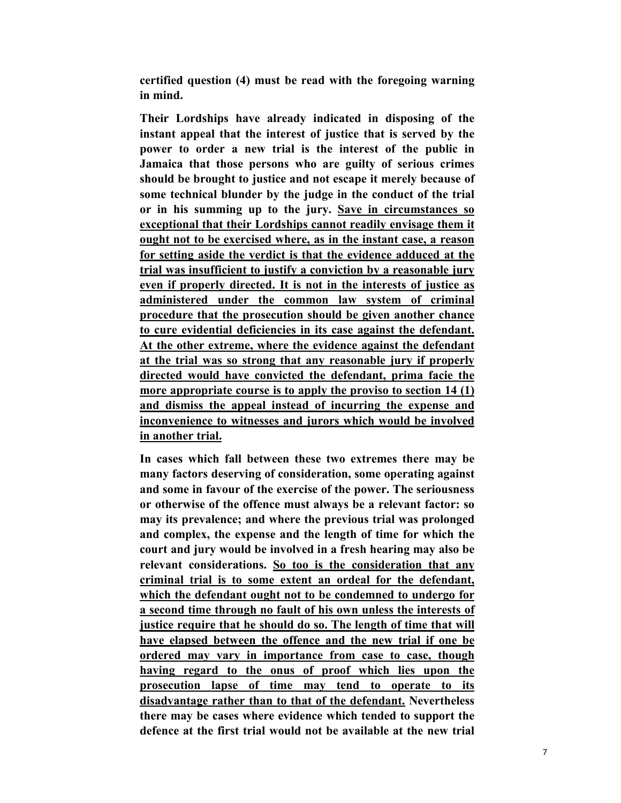**certified question (4) must be read with the foregoing warning in mind.**

**Their Lordships have already indicated in disposing of the instant appeal that the interest of justice thatis served by the power to order a new trial is the interest of the public in Jamaica that those persons who are guilty of serious crimes should be brought to justice and not escape it merely because of some technical blunder by the judge in the conduct of the trial or in his summing up to the jury. Save in circumstances so exceptional that their Lordships cannot readily envisage them it ought not to be exercised where, as in the instant case, a reason for setting aside the verdict is that the evidence adduced at the trial was insufficient to justify a conviction by a reasonable jury even if properly directed. It is not in the interests of justice as administered under the common law system of criminal procedure** that the prosecution should be given another chance **to cure evidential deficiencies in its case against the defendant. At the other extreme, where the evidence against the defendant at the trial was so strong that any reasonable jury if properly directed would have convicted the defendant, prima facie the more appropriate course is to apply the proviso to section 14 (1) and dismiss the appeal instead of incurring the expense and inconvenience to witnesses and jurors which would be involved in another trial.**

**In cases which fall between these two extremes there may be many factors deserving of consideration, some operating against and some in favour of the exercise of the power. The seriousness or otherwise of the offence must always be a relevant factor: so may its prevalence; and where the previous trialwas prolonged and complex, the expense and the length of time for which the court and jury would be involved in a fresh hearing may also be relevant considerations. So too is the consideration that any criminal trial is to some extent an ordeal for the defendant, which the defendant ought not to be condemned toundergo for a second timethrough no fault of his own unless the interests of justice require that he should do so. The length of time that will have elapsed between the offence and the new trial if onebe ordered may vary in importance from case to case, though having regard to the onus of proof which lies upon the prosecution lapse of time may tend to operate to its disadvantage rather than to that ofthe defendant. Nevertheless there may be cases where evidence which tended to support the defence at the first trial would not be available at the new trial**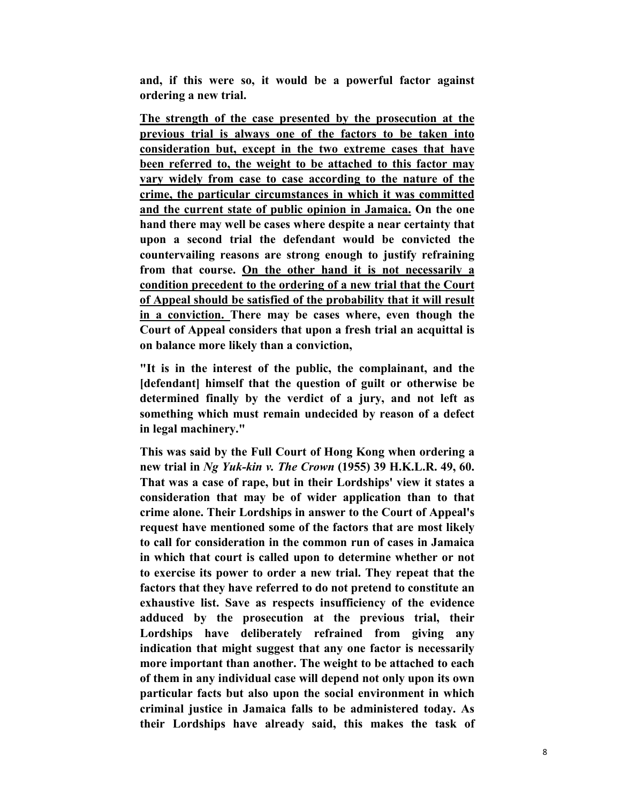**and, if this were so, it would be a powerful factor against ordering a new trial.**

**The strength of the case presented by the prosecution at the previous trial is always one of the factors to be taken into consideration but, except in the two extreme cases that have been referred to, the weight to be attached to thisfactor may vary widely from case to case according to the nature of the crime, the particular circumstances in which it was committed and the current state of public opinion in Jamaica. On the one hand there may well be cases where despite a near certainty that upon asecond trial the defendant would be convicted the countervailing reasons are strong enough to justify refraining from that course. On the other hand it is notnecessarily a condition precedent to the ordering of a new trial that the Court of Appeal should be satisfied of the probability that it will result in a conviction. There may be cases where, even though the Court of Appeal considers that upon a fresh trial an acquittal is on balance more likely than a conviction,**

**"It is in the interest of the public, the complainant, and the [defendant] himself that the question of guilt or otherwise be determined finally by the verdict of a jury, and not left as something which must remain undecided by reason of a defect in legal machinery."**

**This was said by the Full Court of Hong Kong when ordering a new trial in** *Ng Yuk-kin v. The Crown* **(1955) 39 H.K.L.R. 49, 60. That was a case of rape,but in their Lordships' view it states a consideration that may be of wider application than to that crime alone. Their Lordships in answer to the Court of Appeal's request have mentioned some of the factors that are most likely to call for consideration in the common run of cases in Jamaica in which that court is called upon to determine whether or not to exercise its power to order a new trial. They repeat that the factors that they have referred to do not pretend toconstitute an exhaustive list. Save as respects insufficiency of the evidence adduced by the prosecution at the previous trial, their Lordships have deliberately refrained from giving any indication** that might suggest that any one factor is necessarily **more important than another.** The weight to be attached to each **of them in any individual case will depend not only upon its own particular facts but also upon the social environment in which criminal justice in Jamaica falls to be administered today. As their Lordships have already said, this makes the task of**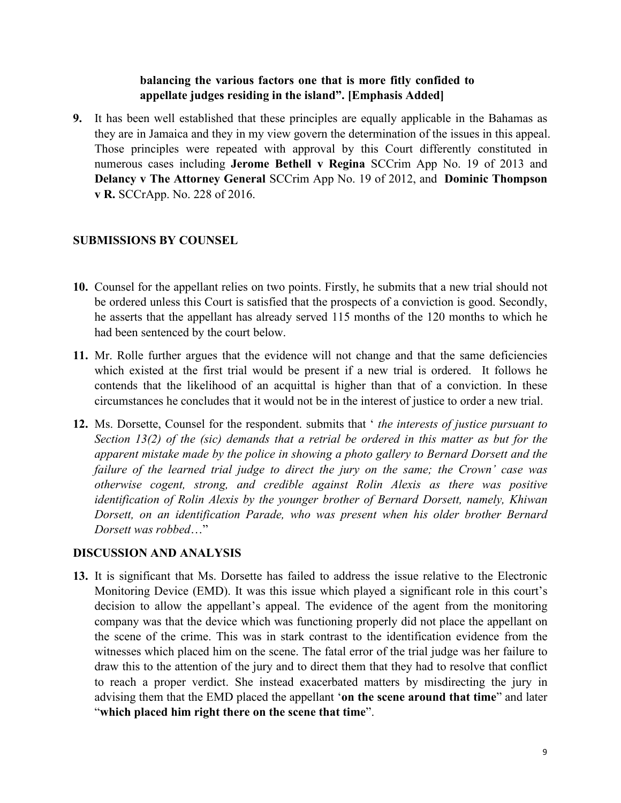## **balancing the various factors one thatis more fitly confided to appellate judges residing in the island". [Emphasis Added]**

**9.** It has been well established that these principles are equally applicable in the Bahamas as they are in Jamaica and they in my view govern the determination of the issues in this appeal. Those principles were repeated with approval by this Court differently constituted in numerous cases including **Jerome Bethell v Regina** SCCrim App No. 19 of 2013 and **Delancy v The Attorney General** SCCrim App No. 19 of 2012, and **Dominic Thompson v R.** SCCrApp. No. 228 of 2016.

#### **SUBMISSIONS BY COUNSEL**

- **10.** Counsel for the appellant relies on two points.Firstly, he submits that a new trial should not be ordered unless this Court is satisfied that the prospects of a conviction is good. Secondly, he asserts that the appellant has already served 115 months of the 120 months to which he had been sentenced by the court below.
- **11.** Mr. Rolle further argues that the evidence will not change and that the same deficiencies which existed at the first trial would be present if a new trial is ordered. It follows he contends that the likelihood of an acquittal is higher than that of a conviction. In these circumstances he concludes that it would not be in the interestof justice to order a new trial.
- **12.** Ms. Dorsette, Counsel for the respondent. submits that ' *the interests of justice pursuant to Section 13(2) of the (sic) demands that a retrial be ordered in this matter as but for the apparent mistake made by the police in showing a photo gallery to Bernard Dorsett and the failure of the learned trial judge to direct the jury on the same; the Crown' case was otherwise cogent, strong, and credible against Rolin Alexis as there was positive identification of Rolin Alexis by the younger brother of Bernard Dorsett, namely, Khiwan Dorsett, on an identification Parade, who was present when his older brother Bernard Dorsett was robbed*…"

#### **DISCUSSION AND ANALYSIS**

**13.** It is significant that Ms. Dorsette has failed to address the issue relative to the Electronic Monitoring Device (EMD). It was this issue which played a significant role in this court's decision to allow the appellant's appeal. The evidence of the agent from the monitoring company was that the device which was functioning properly did not place the appellant on the scene of the crime. This was in stark contrast to the identification evidence from the witnesses which placed him on the scene. The fatal error of the trial judge was her failure to draw this to the attention of the jury and to direct them that they had to resolve that conflict to reach a proper verdict. She instead exacerbated matters by misdirecting the jury in advising them that the EMD placed the appellant '**on the scene around that time**" and later "**which placed him right there on the scene that time**".